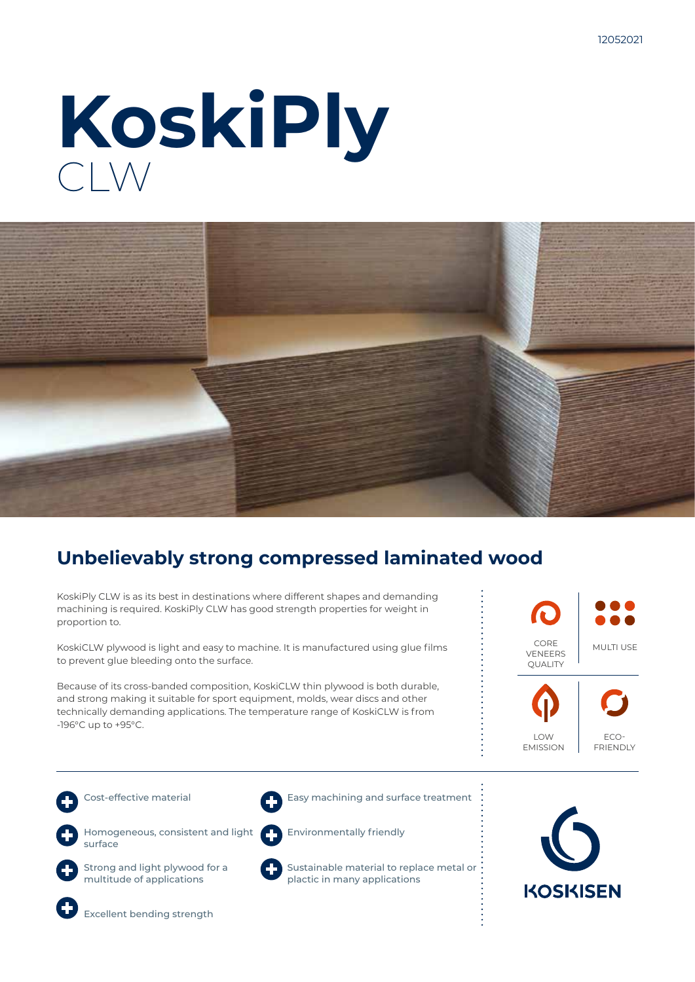# **KoskiPly** CLW



### **Unbelievably strong compressed laminated wood**

KoskiPly CLW is as its best in destinations where different shapes and demanding machining is required. KoskiPly CLW has good strength properties for weight in proportion to.

KoskiCLW plywood is light and easy to machine. It is manufactured using glue films to prevent glue bleeding onto the surface.

Because of its cross-banded composition, KoskiCLW thin plywood is both durable, and strong making it suitable for sport equipment, molds, wear discs and other technically demanding applications. The temperature range of KoskiCLW is from -196°C up to +95°C.

CORE VENEERS **OUALITY** MULTI USE



ECO-FRIENDLY

Cost-effective material



Homogeneous, consistent and light surface



Strong and light plywood for a multitude of applications



Sustainable material to replace metal or

Environmentally friendly

plactic in many applications

Easy machining and surface treatment





Excellent bending strength